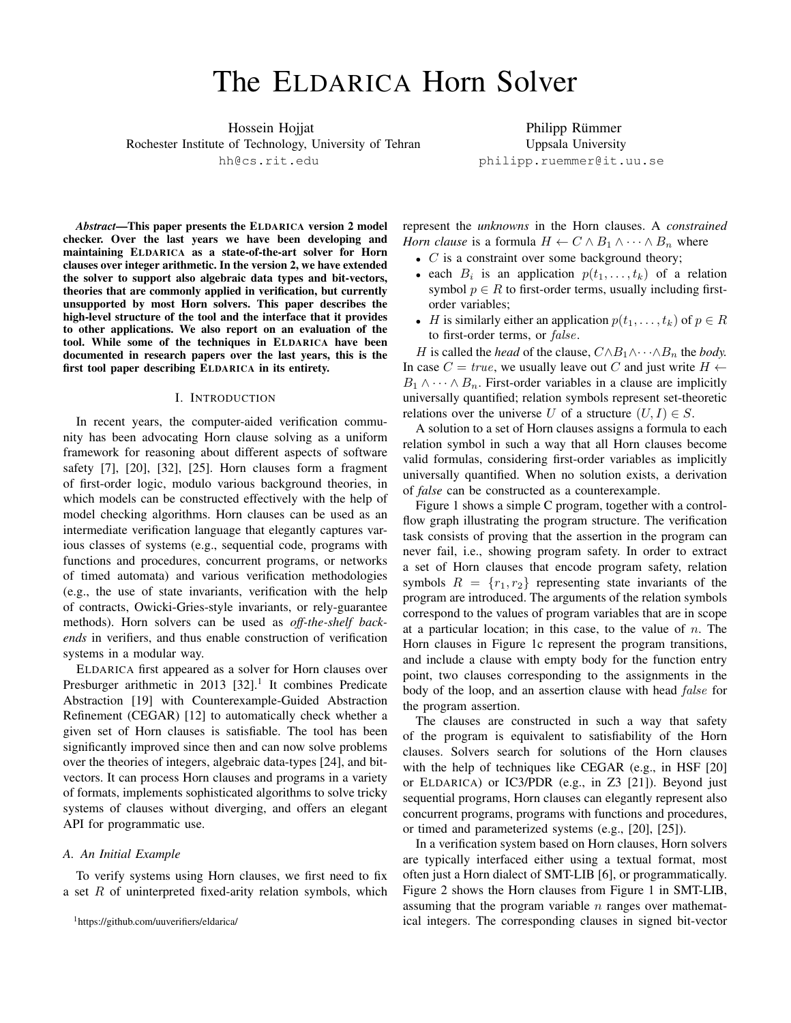# The ELDARICA Horn Solver

Hossein Hojjat Rochester Institute of Technology, University of Tehran hh@cs.rit.edu

Philipp Rümmer Uppsala University philipp.ruemmer@it.uu.se

*Abstract*—This paper presents the ELDARICA version 2 model checker. Over the last years we have been developing and maintaining ELDARICA as a state-of-the-art solver for Horn clauses over integer arithmetic. In the version 2, we have extended the solver to support also algebraic data types and bit-vectors, theories that are commonly applied in verification, but currently unsupported by most Horn solvers. This paper describes the high-level structure of the tool and the interface that it provides to other applications. We also report on an evaluation of the tool. While some of the techniques in ELDARICA have been documented in research papers over the last years, this is the first tool paper describing ELDARICA in its entirety.

#### I. INTRODUCTION

In recent years, the computer-aided verification community has been advocating Horn clause solving as a uniform framework for reasoning about different aspects of software safety [\[7\]](#page-6-0), [\[20\]](#page-6-1), [\[32\]](#page-6-2), [\[25\]](#page-6-3). Horn clauses form a fragment of first-order logic, modulo various background theories, in which models can be constructed effectively with the help of model checking algorithms. Horn clauses can be used as an intermediate verification language that elegantly captures various classes of systems (e.g., sequential code, programs with functions and procedures, concurrent programs, or networks of timed automata) and various verification methodologies (e.g., the use of state invariants, verification with the help of contracts, Owicki-Gries-style invariants, or rely-guarantee methods). Horn solvers can be used as *off-the-shelf backends* in verifiers, and thus enable construction of verification systems in a modular way.

ELDARICA first appeared as a solver for Horn clauses over Presburger arithmetic in 20[1](#page-0-0)3  $[32]$ .<sup>1</sup> It combines Predicate Abstraction [\[19\]](#page-6-4) with Counterexample-Guided Abstraction Refinement (CEGAR) [\[12\]](#page-6-5) to automatically check whether a given set of Horn clauses is satisfiable. The tool has been significantly improved since then and can now solve problems over the theories of integers, algebraic data-types [\[24\]](#page-6-6), and bitvectors. It can process Horn clauses and programs in a variety of formats, implements sophisticated algorithms to solve tricky systems of clauses without diverging, and offers an elegant API for programmatic use.

#### *A. An Initial Example*

To verify systems using Horn clauses, we first need to fix a set  $R$  of uninterpreted fixed-arity relation symbols, which represent the *unknowns* in the Horn clauses. A *constrained Horn clause* is a formula  $H \leftarrow C \wedge B_1 \wedge \cdots \wedge B_n$  where

- $C$  is a constraint over some background theory;
- each  $B_i$  is an application  $p(t_1, \ldots, t_k)$  of a relation symbol  $p \in R$  to first-order terms, usually including firstorder variables;
- *H* is similarly either an application  $p(t_1, \ldots, t_k)$  of  $p \in R$ to first-order terms, or *false*.

*H* is called the *head* of the clause,  $C \land B_1 \land \cdots \land B_n$  the *body*. In case  $C = true$ , we usually leave out C and just write  $H \leftarrow$  $B_1 \wedge \cdots \wedge B_n$ . First-order variables in a clause are implicitly universally quantified; relation symbols represent set-theoretic relations over the universe U of a structure  $(U, I) \in S$ .

A solution to a set of Horn clauses assigns a formula to each relation symbol in such a way that all Horn clauses become valid formulas, considering first-order variables as implicitly universally quantified. When no solution exists, a derivation of *false* can be constructed as a counterexample.

Figure [1](#page-1-0) shows a simple C program, together with a controlflow graph illustrating the program structure. The verification task consists of proving that the assertion in the program can never fail, i.e., showing program safety. In order to extract a set of Horn clauses that encode program safety, relation symbols  $R = \{r_1, r_2\}$  representing state invariants of the program are introduced. The arguments of the relation symbols correspond to the values of program variables that are in scope at a particular location; in this case, to the value of  $n$ . The Horn clauses in Figure [1c](#page-1-0) represent the program transitions, and include a clause with empty body for the function entry point, two clauses corresponding to the assignments in the body of the loop, and an assertion clause with head *false* for the program assertion.

The clauses are constructed in such a way that safety of the program is equivalent to satisfiability of the Horn clauses. Solvers search for solutions of the Horn clauses with the help of techniques like CEGAR (e.g., in HSF [\[20\]](#page-6-1) or ELDARICA) or IC3/PDR (e.g., in Z3 [\[21\]](#page-6-7)). Beyond just sequential programs, Horn clauses can elegantly represent also concurrent programs, programs with functions and procedures, or timed and parameterized systems (e.g., [\[20\]](#page-6-1), [\[25\]](#page-6-3)).

In a verification system based on Horn clauses, Horn solvers are typically interfaced either using a textual format, most often just a Horn dialect of SMT-LIB [\[6\]](#page-6-8), or programmatically. Figure [2](#page-1-1) shows the Horn clauses from Figure [1](#page-1-0) in SMT-LIB, assuming that the program variable  $n$  ranges over mathematical integers. The corresponding clauses in signed bit-vector

<span id="page-0-0"></span><sup>1</sup><https://github.com/uuverifiers/eldarica/>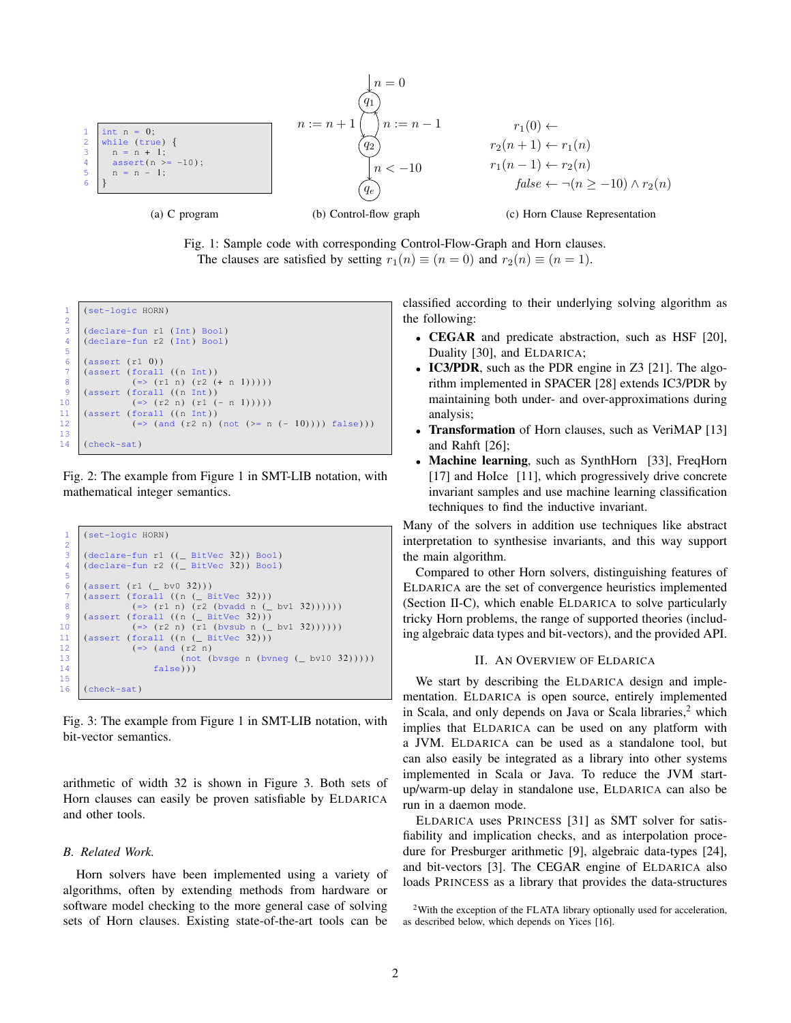<span id="page-1-0"></span>



```
1 (set-logic HORN)
  \frac{2}{3}\begin{array}{c|cc}\n3 & (\text{dec} \cdot \text{de} - \text{fun r1 (Int) } \text{Bool}) \\
4 & (\text{dec} \cdot \text{de} - \text{fun r2 (Int) } \text{Bool})\n\end{array}(declare-fun r2 (Int) Bool)
  5
           (assert (r1 0))\begin{array}{c} 7 \\ 8 \end{array} (assert (forall ((n Int))<br>\begin{array}{c} (n \geq 0.71 \text{ m}) \end{array} (r2 \begin{array}{c} (n \geq 0.71 \text{ m}) \end{array}( = > (r1 n) (r2 (+ n 1))))\begin{array}{c|c} 9 & (assert (for all (n Int)) \\ 10 & (= (r2 n) (r1)) \end{array}10 (=& (r2 n) (r1 (- n 1)))))<br>
11 (assert (for all (n Int))11 (assert (forall ((n Int))<br>12 (=> (and (r2 n))
                               ( \Rightarrow (and (r2 n) (not (>= n (- 10)))) false)))
13
14 (check-sat)
```
Fig. 2: The example from Figure [1](#page-1-0) in SMT-LIB notation, with mathematical integer semantics.

```
(set-logic HORN)
 \begin{array}{c} 2 \\ 3 \end{array}\begin{array}{c|c} 3 & (\text{ declare-fun r1 } ((\text{ _ BitVec 32}))\text{ } \text{Bool}) \\ 4 & (\text{ declare-fun r2 } ((\text{ _ BitVec 32}))\text{ } \text{Bool}) \end{array}(declare-fun r2 ((_ BitVec 32)) Bool)
  5
  6 (assert (r1 (-bv0 32)))7 (assert (forall ((n (_ BitVec 32)))<br>8 (=> (r1 n) (r2 (bvadd n (_ bv1 32))))))
9 (assert (forall ((n \ ( \ \ \text{BitVec} \ 32))))<br>10 (\Rightarrow (r2 n) (r1 (bysub n (
10 (=> (r2 n) (r1 (bysub n (_ bv1 32))))))<br>11 (assert (forall ((n (_ BitVec 32)))
11 (assert (forall ((n \ (BitVec 32))))<br>12 (=>(and (r2 n)\begin{array}{c|c} 12 & \text{(=)} & \text{(and (r2 n)} \\ 13 & \text{(not (i))} \end{array}\begin{array}{c|c}\n 13 & \text{(not (bvsge n (bvneg (-bv10 32)))))} \\
 14 & \text{false}))\n \end{array}false)))
15<br>16(check-sat)
```
Fig. 3: The example from Figure [1](#page-1-0) in SMT-LIB notation, with bit-vector semantics.

arithmetic of width 32 is shown in Figure [3.](#page-1-2) Both sets of Horn clauses can easily be proven satisfiable by ELDARICA and other tools.

#### *B. Related Work.*

Horn solvers have been implemented using a variety of algorithms, often by extending methods from hardware or software model checking to the more general case of solving sets of Horn clauses. Existing state-of-the-art tools can be

classified according to their underlying solving algorithm as the following:

- **CEGAR** and predicate abstraction, such as HSF [\[20\]](#page-6-1), Duality [\[30\]](#page-6-9), and ELDARICA;
- IC3/PDR, such as the PDR engine in Z3 [\[21\]](#page-6-7). The algorithm implemented in SPACER [\[28\]](#page-6-10) extends IC3/PDR by maintaining both under- and over-approximations during analysis;
- **Transformation** of Horn clauses, such as VeriMAP [\[13\]](#page-6-11) and Rahft [\[26\]](#page-6-12);
- Machine learning, such as SynthHorn [\[33\]](#page-6-13), FreqHorn [\[17\]](#page-6-14) and HoIce [\[11\]](#page-6-15), which progressively drive concrete invariant samples and use machine learning classification techniques to find the inductive invariant.

Many of the solvers in addition use techniques like abstract interpretation to synthesise invariants, and this way support the main algorithm.

Compared to other Horn solvers, distinguishing features of ELDARICA are the set of convergence heuristics implemented (Section [II-C\)](#page-2-0), which enable ELDARICA to solve particularly tricky Horn problems, the range of supported theories (including algebraic data types and bit-vectors), and the provided API.

## II. AN OVERVIEW OF ELDARICA

We start by describing the ELDARICA design and implementation. ELDARICA is open source, entirely implemented in Scala, and only depends on Java or Scala libraries, $<sup>2</sup>$  $<sup>2</sup>$  $<sup>2</sup>$  which</sup> implies that ELDARICA can be used on any platform with a JVM. ELDARICA can be used as a standalone tool, but can also easily be integrated as a library into other systems implemented in Scala or Java. To reduce the JVM startup/warm-up delay in standalone use, ELDARICA can also be run in a daemon mode.

ELDARICA uses PRINCESS [\[31\]](#page-6-16) as SMT solver for satisfiability and implication checks, and as interpolation procedure for Presburger arithmetic [\[9\]](#page-6-17), algebraic data-types [\[24\]](#page-6-6), and bit-vectors [\[3\]](#page-6-18). The CEGAR engine of ELDARICA also loads PRINCESS as a library that provides the data-structures

<span id="page-1-3"></span><sup>2</sup>With the exception of the FLATA library optionally used for acceleration, as described below, which depends on Yices [\[16\]](#page-6-19).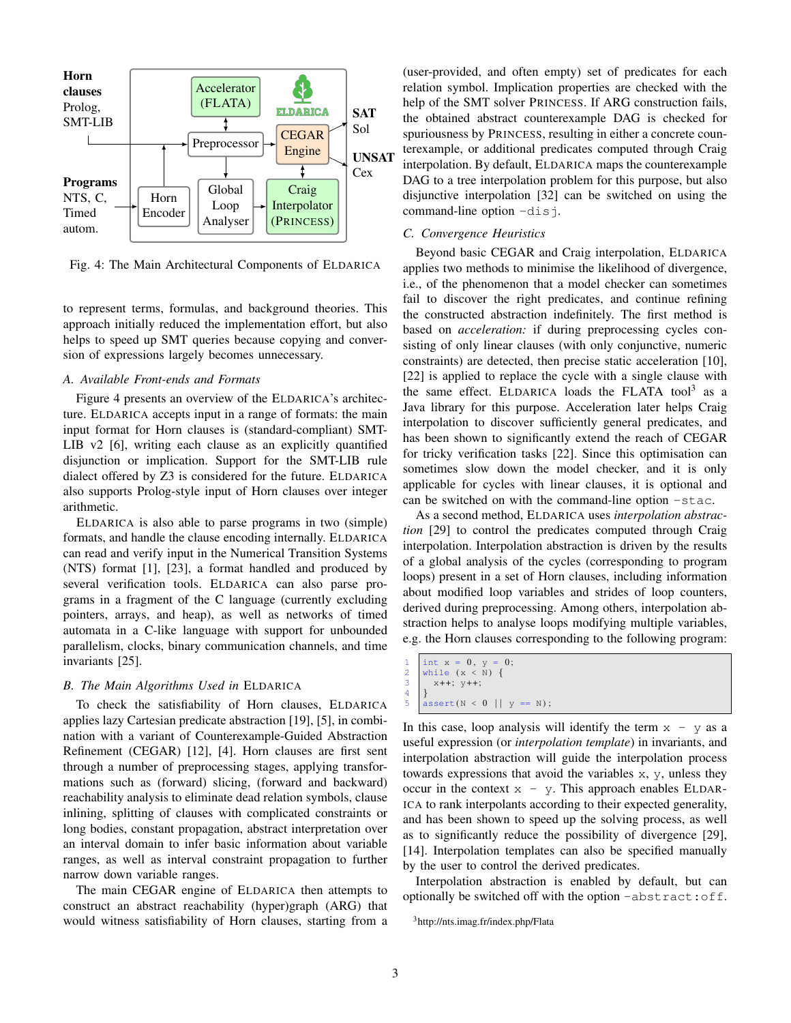<span id="page-2-1"></span>

Fig. 4: The Main Architectural Components of ELDARICA

to represent terms, formulas, and background theories. This approach initially reduced the implementation effort, but also helps to speed up SMT queries because copying and conversion of expressions largely becomes unnecessary.

## *A. Available Front-ends and Formats*

Figure [4](#page-2-1) presents an overview of the ELDARICA's architecture. ELDARICA accepts input in a range of formats: the main input format for Horn clauses is (standard-compliant) SMT-LIB v2 [\[6\]](#page-6-8), writing each clause as an explicitly quantified disjunction or implication. Support for the SMT-LIB rule dialect offered by Z3 is considered for the future. ELDARICA also supports Prolog-style input of Horn clauses over integer arithmetic.

ELDARICA is also able to parse programs in two (simple) formats, and handle the clause encoding internally. ELDARICA can read and verify input in the Numerical Transition Systems (NTS) format [\[1\]](#page-6-20), [\[23\]](#page-6-21), a format handled and produced by several verification tools. ELDARICA can also parse programs in a fragment of the C language (currently excluding pointers, arrays, and heap), as well as networks of timed automata in a C-like language with support for unbounded parallelism, clocks, binary communication channels, and time invariants [\[25\]](#page-6-3).

#### *B. The Main Algorithms Used in* ELDARICA

To check the satisfiability of Horn clauses, ELDARICA applies lazy Cartesian predicate abstraction [\[19\]](#page-6-4), [\[5\]](#page-6-22), in combination with a variant of Counterexample-Guided Abstraction Refinement (CEGAR) [\[12\]](#page-6-5), [\[4\]](#page-6-23). Horn clauses are first sent through a number of preprocessing stages, applying transformations such as (forward) slicing, (forward and backward) reachability analysis to eliminate dead relation symbols, clause inlining, splitting of clauses with complicated constraints or long bodies, constant propagation, abstract interpretation over an interval domain to infer basic information about variable ranges, as well as interval constraint propagation to further narrow down variable ranges.

The main CEGAR engine of ELDARICA then attempts to construct an abstract reachability (hyper)graph (ARG) that would witness satisfiability of Horn clauses, starting from a (user-provided, and often empty) set of predicates for each relation symbol. Implication properties are checked with the help of the SMT solver PRINCESS. If ARG construction fails, the obtained abstract counterexample DAG is checked for spuriousness by PRINCESS, resulting in either a concrete counterexample, or additional predicates computed through Craig interpolation. By default, ELDARICA maps the counterexample DAG to a tree interpolation problem for this purpose, but also disjunctive interpolation [\[32\]](#page-6-2) can be switched on using the command-line option  $-dis$ .

# <span id="page-2-0"></span>*C. Convergence Heuristics*

Beyond basic CEGAR and Craig interpolation, ELDARICA applies two methods to minimise the likelihood of divergence, i.e., of the phenomenon that a model checker can sometimes fail to discover the right predicates, and continue refining the constructed abstraction indefinitely. The first method is based on *acceleration:* if during preprocessing cycles consisting of only linear clauses (with only conjunctive, numeric constraints) are detected, then precise static acceleration [\[10\]](#page-6-24), [\[22\]](#page-6-25) is applied to replace the cycle with a single clause with the same effect. ELDARICA loads the FLATA tool<sup>[3](#page-2-2)</sup> as a Java library for this purpose. Acceleration later helps Craig interpolation to discover sufficiently general predicates, and has been shown to significantly extend the reach of CEGAR for tricky verification tasks [\[22\]](#page-6-25). Since this optimisation can sometimes slow down the model checker, and it is only applicable for cycles with linear clauses, it is optional and can be switched on with the command-line option -stac.

As a second method, ELDARICA uses *interpolation abstraction* [\[29\]](#page-6-26) to control the predicates computed through Craig interpolation. Interpolation abstraction is driven by the results of a global analysis of the cycles (corresponding to program loops) present in a set of Horn clauses, including information about modified loop variables and strides of loop counters, derived during preprocessing. Among others, interpolation abstraction helps to analyse loops modifying multiple variables, e.g. the Horn clauses corresponding to the following program:

```
1 \begin{cases} \text{int } x = 0, y = 0; \\ \text{while } (x < N) \end{cases}3 x++; y++;5 \text{assert}(N < 0 || y == N);
```
In this case, loop analysis will identify the term  $x - y$  as a useful expression (or *interpolation template*) in invariants, and interpolation abstraction will guide the interpolation process towards expressions that avoid the variables x, y, unless they occur in the context  $x - y$ . This approach enables ELDAR-ICA to rank interpolants according to their expected generality, and has been shown to speed up the solving process, as well as to significantly reduce the possibility of divergence [\[29\]](#page-6-26), [\[14\]](#page-6-27). Interpolation templates can also be specified manually by the user to control the derived predicates.

Interpolation abstraction is enabled by default, but can optionally be switched off with the option -abstract:off.

 $\overline{4}$ 

<span id="page-2-2"></span><sup>3</sup><http://nts.imag.fr/index.php/Flata>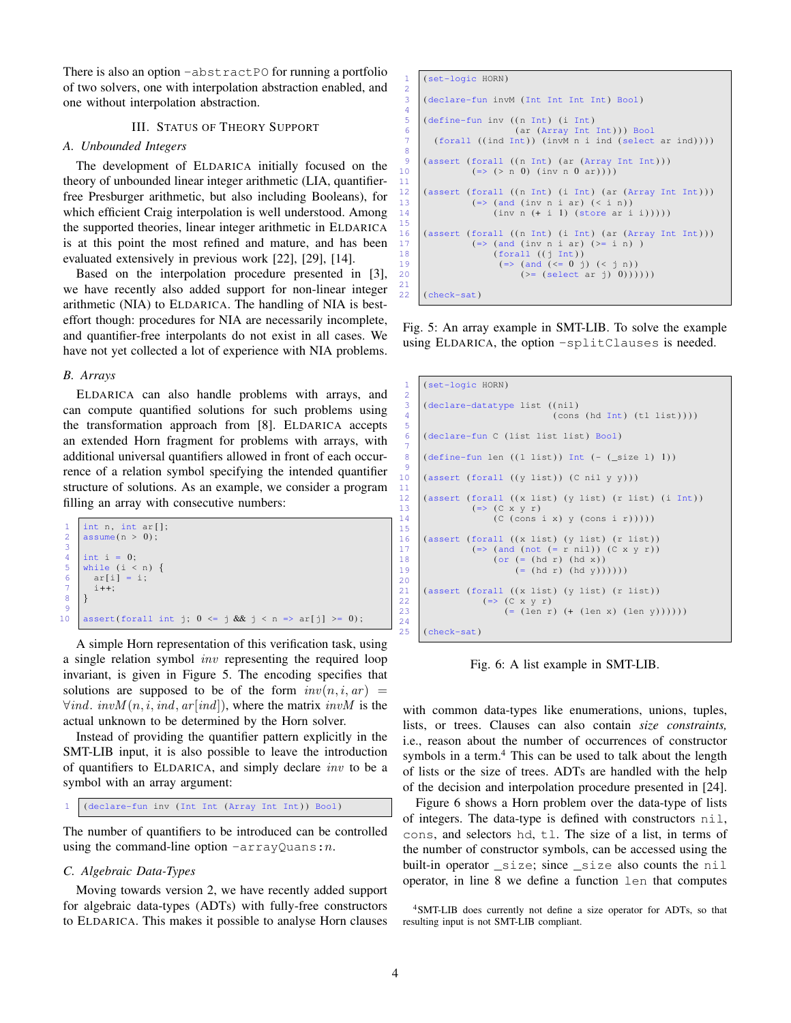There is also an option -abstractPO for running a portfolio of two solvers, one with interpolation abstraction enabled, and one without interpolation abstraction.

# III. STATUS OF THEORY SUPPORT

#### *A. Unbounded Integers*

The development of ELDARICA initially focused on the theory of unbounded linear integer arithmetic (LIA, quantifierfree Presburger arithmetic, but also including Booleans), for which efficient Craig interpolation is well understood. Among the supported theories, linear integer arithmetic in ELDARICA is at this point the most refined and mature, and has been evaluated extensively in previous work [\[22\]](#page-6-25), [\[29\]](#page-6-26), [\[14\]](#page-6-27).

Based on the interpolation procedure presented in [\[3\]](#page-6-18), we have recently also added support for non-linear integer arithmetic (NIA) to ELDARICA. The handling of NIA is besteffort though: procedures for NIA are necessarily incomplete, and quantifier-free interpolants do not exist in all cases. We have not yet collected a lot of experience with NIA problems.

### *B. Arrays*

ELDARICA can also handle problems with arrays, and can compute quantified solutions for such problems using the transformation approach from [\[8\]](#page-6-28). ELDARICA accepts an extended Horn fragment for problems with arrays, with additional universal quantifiers allowed in front of each occurrence of a relation symbol specifying the intended quantifier structure of solutions. As an example, we consider a program filling an array with consecutive numbers:

|                | int n, int $ar[]$ ;                                                             |
|----------------|---------------------------------------------------------------------------------|
| $\overline{2}$ | assume(n > 0);                                                                  |
|                |                                                                                 |
|                | int i = $0$ ;                                                                   |
| 5              | while $(i \le n)$ {                                                             |
| 6              | $ar[i] = i;$                                                                    |
|                | $i++$                                                                           |
|                |                                                                                 |
|                |                                                                                 |
| 10             | assert(forall int j; $0 \leq j$ & $j \leq n \Rightarrow \text{ar}[j] \geq 0$ ); |

A simple Horn representation of this verification task, using a single relation symbol inv representing the required loop invariant, is given in Figure [5.](#page-3-0) The encoding specifies that solutions are supposed to be of the form  $inv(n, i, ar)$  =  $\forall ind. \; invM(n, i, ind, ar-ind).$  where the matrix  $invM$  is the actual unknown to be determined by the Horn solver.

Instead of providing the quantifier pattern explicitly in the SMT-LIB input, it is also possible to leave the introduction of quantifiers to ELDARICA, and simply declare inv to be a symbol with an array argument:

```
1 (declare-fun inv (Int Int (Array Int Int) ) Bool)
```
The number of quantifiers to be introduced can be controlled using the command-line option  $-arrayQuans:n$ .

#### *C. Algebraic Data-Types*

Moving towards version 2, we have recently added support for algebraic data-types (ADTs) with fully-free constructors to ELDARICA. This makes it possible to analyse Horn clauses

```
(set-logic HORN)
\frac{2}{3}(declare-fun invM (Int Int Int Int) Bool)
 \frac{4}{5}\begin{array}{c|c} 5 & \text{(define-fun inv ((n Int) (i Int))} \\ 6 & \text{(ar (Array Int))} \\ 7 & \text{(forall ((ind Int)) (invM n i))} \end{array}6 (ar (Array Int Int) ) ) Bool
7 (forall ( ( ind Int) ) (invM n i ind (select ar ind) ) ) )
 8
9 (assert (forall ((n Int) (ar (Array Int Int))) (3x + 10x + 9) (inv n 0 ar))))
                 (=> (> n 0) (inv n 0 ar)))11
12 (assert (forall ((n Int) (i Int) (ar (Array Int Int)))
13 (=> (and (inv n i ar) ( i n))
14 (inv n (+ i 1) (store ar i i)))))
15
16 (assert (forall ((n Int) (i Int) (ar (Array Int Int))) (17) (=> (and (inv n i ar) (>= i n))
18 (forall ((j Int))
19 (=>(and (<=0 j) (< j n))20 (>= (select ar j) 0))))))
21
22 (check-sat)
```
Fig. 5: An array example in SMT-LIB. To solve the example using ELDARICA, the option -splitClauses is needed.

```
1 (set-logic HORN)
 \begin{array}{c|c} 3 & \text{(declace-datative)} \ 4 & \text{(cons)} \end{array}(cons (hd Int) (tl list)))6 (declare-fun C (list list list) Bool)
 8 (define-fun len ((1 \text{ list})) Int (- (_size 1) 1))
10 (assert (forall ((y list)) (C nil y y)))
12 (assert (forall ((x list) (y list) (r list) (i Int)) ( \Rightarrow (C \times y \text{ r})13 (=> (C x y r)<br>14 (C (cons i x) y (cons i r)))))
16 (assert (forall ((x list) (y list) (r list))<br>17 (=> (and (not (=r nil)) (C xy r))17 (=> (and (not (= r nil)) (C x y r))<br>
18 (or (= (hd r) (hd x))
18 (or (= (hd r) (hd x))<br>19 (= (hd r) (hd y))))))
21 (assert (forall ((x list) (y list) (r list)) (22) (=> (C x y r)
\begin{array}{c|c}\n 22 & \text{(=)} & \text{(C x y r)} \\
 23 & \text{(= (len r)}\n \end{array}(=(len r) (+ (len x) (len y))))(check-sat)
```
Fig. 6: A list example in SMT-LIB.

with common data-types like enumerations, unions, tuples, lists, or trees. Clauses can also contain *size constraints,* i.e., reason about the number of occurrences of constructor symbols in a term.<sup>[4](#page-3-1)</sup> This can be used to talk about the length of lists or the size of trees. ADTs are handled with the help of the decision and interpolation procedure presented in [\[24\]](#page-6-6).

Figure [6](#page-3-2) shows a Horn problem over the data-type of lists of integers. The data-type is defined with constructors nil, cons, and selectors hd, tl. The size of a list, in terms of the number of constructor symbols, can be accessed using the built-in operator \_size; since \_size also counts the nil operator, in line 8 we define a function len that computes

 $\frac{2}{3}$ 

5

7

9

 $\frac{11}{12}$ 

15

20

 $24$ <br> $25$ 

<span id="page-3-1"></span><sup>4</sup>SMT-LIB does currently not define a size operator for ADTs, so that resulting input is not SMT-LIB compliant.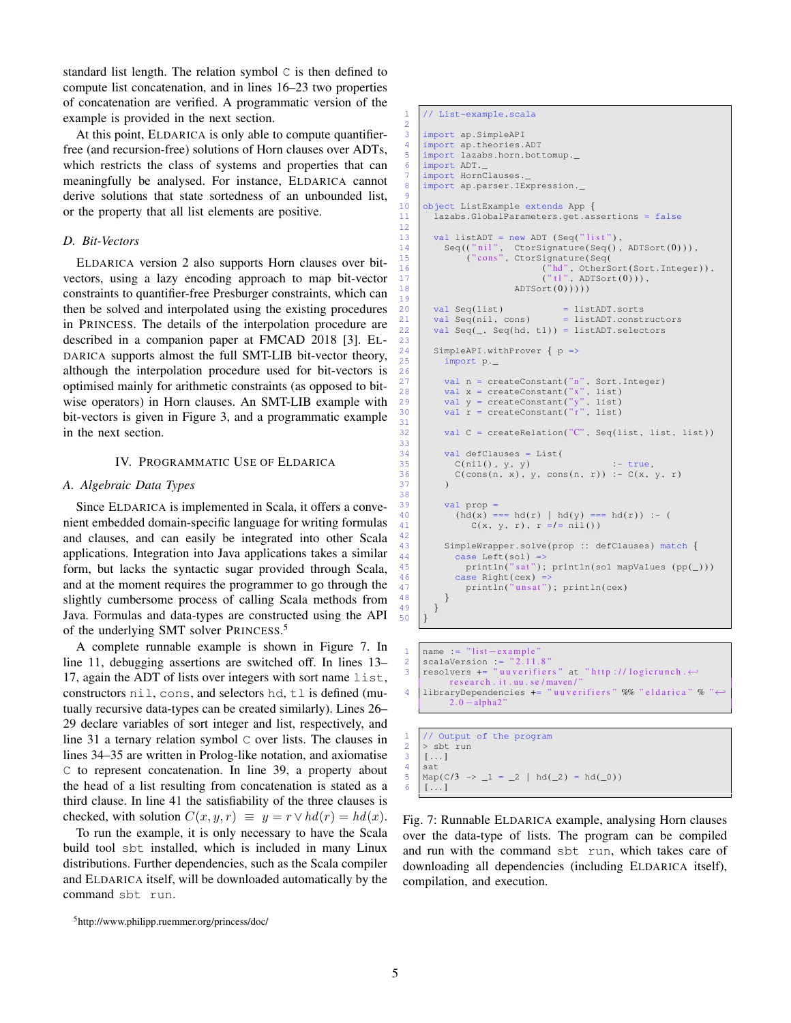standard list length. The relation symbol C is then defined to compute list concatenation, and in lines 16–23 two properties of concatenation are verified. A programmatic version of the example is provided in the next section.

At this point, ELDARICA is only able to compute quantifierfree (and recursion-free) solutions of Horn clauses over ADTs, which restricts the class of systems and properties that can meaningfully be analysed. For instance, ELDARICA cannot derive solutions that state sortedness of an unbounded list, or the property that all list elements are positive.

## *D. Bit-Vectors*

ELDARICA version 2 also supports Horn clauses over bitvectors, using a lazy encoding approach to map bit-vector constraints to quantifier-free Presburger constraints, which can then be solved and interpolated using the existing procedures in PRINCESS. The details of the interpolation procedure are described in a companion paper at FMCAD 2018 [\[3\]](#page-6-18). EL-DARICA supports almost the full SMT-LIB bit-vector theory, although the interpolation procedure used for bit-vectors is optimised mainly for arithmetic constraints (as opposed to bitwise operators) in Horn clauses. An SMT-LIB example with bit-vectors is given in Figure [3,](#page-1-2) and a programmatic example in the next section.

## IV. PROGRAMMATIC USE OF ELDARICA

#### *A. Algebraic Data Types*

Since ELDARICA is implemented in Scala, it offers a convenient embedded domain-specific language for writing formulas and clauses, and can easily be integrated into other Scala applications. Integration into Java applications takes a similar form, but lacks the syntactic sugar provided through Scala, and at the moment requires the programmer to go through the slightly cumbersome process of calling Scala methods from Java. Formulas and data-types are constructed using the API of the underlying SMT solver PRINCESS.<sup>[5](#page-4-0)</sup>

A complete runnable example is shown in Figure [7.](#page-4-1) In line 11, debugging assertions are switched off. In lines 13– 17, again the ADT of lists over integers with sort name list, constructors nil, cons, and selectors hd, tl is defined (mutually recursive data-types can be created similarly). Lines 26– 29 declare variables of sort integer and list, respectively, and line 31 a ternary relation symbol C over lists. The clauses in lines 34–35 are written in Prolog-like notation, and axiomatise C to represent concatenation. In line 39, a property about the head of a list resulting from concatenation is stated as a third clause. In line 41 the satisfiability of the three clauses is checked, with solution  $C(x, y, r) \equiv y = r \vee hd(r) = hd(x)$ .

To run the example, it is only necessary to have the Scala build tool sbt installed, which is included in many Linux distributions. Further dependencies, such as the Scala compiler and ELDARICA itself, will be downloaded automatically by the command sbt run.

```
5http://www.philipp.ruemmer.org/princess/doc/
```

```
// List-example.scala
 3 import ap . SimpleAPI
 4 import ap.theories.ADT<br>5 import lazabs horn bot
      import lazabs . horn . bottomup ._
 6 import ADT.<br>
7 import Horn
      import HornClauses.
 8 | import ap. parser. IExpression.
      10 object ListExample extends App {
11 lazabs . GlobalParameters . get . assertions = false
13 val listADT = new ADT (Seq("list"),
14 Seq(("nil", CtorSignature(Seq(), ADTSort(0))),<br>
15 ("cons", CtorSignature(Seq(
16 ("hd", OtherSort(Sort.Integer)),<br>17 ("tl", ADTSort(0))),
18 \text{ADTSort}(0)))
20 val Seq(list) = listADT.sorts<br>21 val Seq(nil, cons) = listADT.const
21 val Seq(nil, cons) = listADT.constructors
22 val Seq(\_, Seq(hd, tl)) = listADT.selectors
24 SimpleAPI withProver \{p \Rightarrow<br>25 import p
            import p_{\cdot -}27 val n = createConstant("n", Sort.Integer)<br>
28 val x = createConstant("x", list)
28 val x = createConstant("x", list)<br>29 val y = createConstant("y", list)
30 val r = \text{createConstant}("r", \text{ list})32 val C = createRelation("C", Seq(list, list, list))
\begin{array}{c|c} 34 & \text{val def} \text{Classes} = \text{List}(35 & \text{C(nil(), y, y)}) \end{array}\begin{array}{ccc} 35 & \text{c}(nil), y, y) & : - \text{true}, \\ 36 & \text{c}(\text{cons}(n, x), y, \text{cons}(n, r)) & : - \text{C}(x, r) \end{array}C(\text{cons}(n, x), y, \text{cons}(n, r)) := C(x, y, r)val prop =
40 (hd(x) === hd(r) | hd(y) === hd(r)) :- (<br>41 ((x, y, r), r =/= ni l())
                  C(x, y, r), r = l = nil()43 SimpleWrapper.solve(prop :: defClauses) match {<br>44 Case Left(sol) =>
              case Left(sol) =
45 println("sat"); println(sol mapValues (pp(\_)))46 case Right(cex) =><br>47 case Right(cex) =>
                 print(n("unsat"); println(cex)\begin{array}{c|c} 49 & 3 \\ 50 & 1 \end{array}
```

```
1 name := "list-example<br>2 scalaVersion := "2.11
2 \vert scalaVersion := "2.11.8"
    resolvers += "uuverifiers" at "http://logicrunch.\leftrightarrowr e s e a r c h . i t . uu . s e / maven /
4 libraryDependencies += "uuverifiers" %% "eldarica" % "\leftrightarrow2.0 - alpha2
```

```
1 // Output of the program<br>2 > sbt run
\begin{array}{c|c} 2 & \rightarrow \text{ sbt} \text{ run} \\ 3 & \dots \end{array}\begin{array}{c|c} 3 & [\dots] \\ 4 & \text{sat} \end{array}\begin{array}{c|c} 4 & \text{sat} \\ 5 & \text{Man} \end{array}5 \left[\text{Map}(C/3 \rightarrow 1 = 2 \mid \text{hd}(\_2) = \text{hd}(\_0))\right][\ldots]
```
Fig. 7: Runnable ELDARICA example, analysing Horn clauses over the data-type of lists. The program can be compiled and run with the command sbt run, which takes care of downloading all dependencies (including ELDARICA itself), compilation, and execution.

2

 $\frac{9}{10}$ 

12

19

23

26

31

33

37 ) 38<br>39

42

48 }

 $50$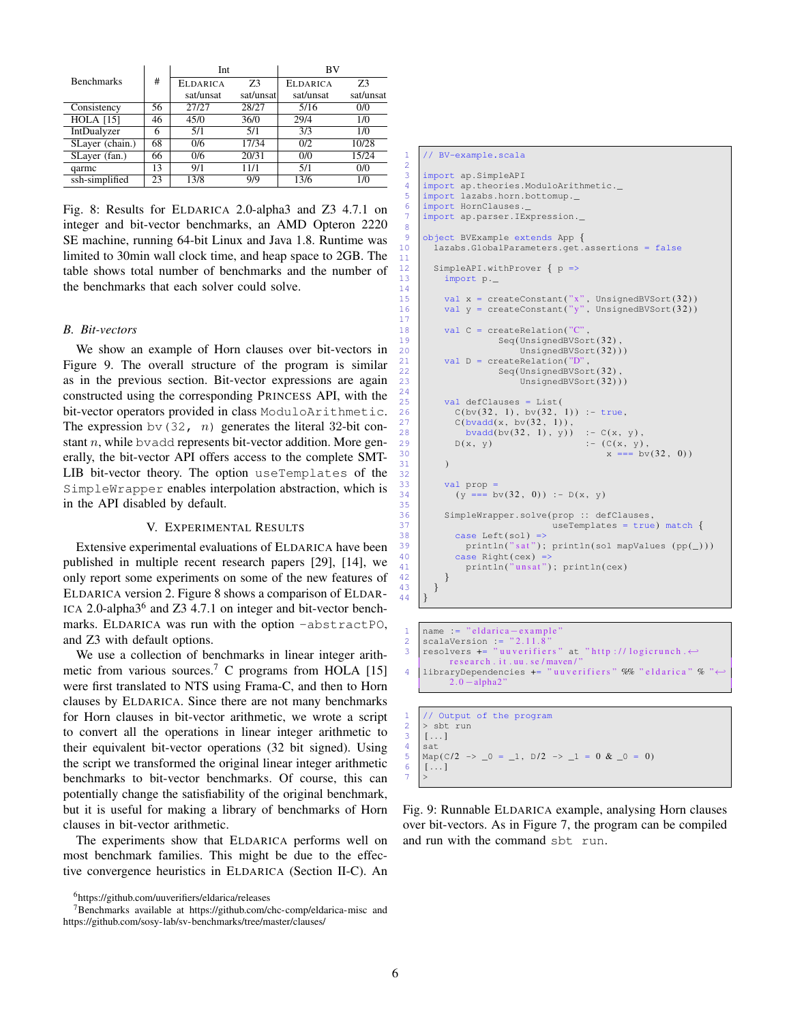<span id="page-5-1"></span>

|                   | #  | Int             |           | <b>BV</b>       |           |
|-------------------|----|-----------------|-----------|-----------------|-----------|
| <b>Benchmarks</b> |    | <b>ELDARICA</b> | 73        | <b>ELDARICA</b> | 73        |
|                   |    | sat/unsat       | sat/unsat | sat/unsat       | sat/unsat |
| Consistency       | 56 | 27/27           | 28/27     | 5/16            | 0/0       |
| <b>HOLA</b> [15]  | 46 | 45/0            | 36/0      | 29/4            | 1/0       |
| IntDualyzer       | 6  | 5/1             | 5/1       | 3/3             | 1/0       |
| SLayer (chain.)   | 68 | 0/6             | 17/34     | 0/2             | 10/28     |
| SLayer (fan.)     | 66 | 0/6             | 20/31     | 0/0             | 15/24     |
| qarmc             | 13 | 9/1             | 11/1      | 5/1             | 0/0       |
| ssh-simplified    | 23 | 13/8            | 9/9       | 13/6            | 1/0       |

Fig. 8: Results for ELDARICA 2.0-alpha3 and Z3 4.7.1 on integer and bit-vector benchmarks, an AMD Opteron 2220 SE machine, running 64-bit Linux and Java 1.8. Runtime was limited to 30min wall clock time, and heap space to 2GB. The table shows total number of benchmarks and the number of the benchmarks that each solver could solve.

#### *B. Bit-vectors*

We show an example of Horn clauses over bit-vectors in Figure [9.](#page-5-0) The overall structure of the program is similar as in the previous section. Bit-vector expressions are again constructed using the corresponding PRINCESS API, with the bit-vector operators provided in class ModuloArithmetic. The expression bv(32, n) generates the literal 32-bit constant  $n$ , while byadd represents bit-vector addition. More generally, the bit-vector API offers access to the complete SMT-LIB bit-vector theory. The option useTemplates of the SimpleWrapper enables interpolation abstraction, which is in the API disabled by default.

#### V. EXPERIMENTAL RESULTS

Extensive experimental evaluations of ELDARICA have been published in multiple recent research papers [\[29\]](#page-6-26), [\[14\]](#page-6-27), we only report some experiments on some of the new features of ELDARICA version 2. Figure [8](#page-5-1) shows a comparison of ELDAR-ICA 2.0-alpha3<sup>[6](#page-5-2)</sup> and Z3 4.7.1 on integer and bit-vector benchmarks. ELDARICA was run with the option -abstractPO, and Z3 with default options.

We use a collection of benchmarks in linear integer arith-metic from various sources.<sup>[7](#page-5-3)</sup> C programs from HOLA [\[15\]](#page-6-29) were first translated to NTS using Frama-C, and then to Horn clauses by ELDARICA. Since there are not many benchmarks for Horn clauses in bit-vector arithmetic, we wrote a script to convert all the operations in linear integer arithmetic to their equivalent bit-vector operations (32 bit signed). Using the script we transformed the original linear integer arithmetic benchmarks to bit-vector benchmarks. Of course, this can potentially change the satisfiability of the original benchmark, but it is useful for making a library of benchmarks of Horn clauses in bit-vector arithmetic.

The experiments show that ELDARICA performs well on most benchmark families. This might be due to the effective convergence heuristics in ELDARICA (Section [II-C\)](#page-2-0). An

#### <span id="page-5-0"></span>1 // BV-example.scala

 $\frac{2}{3}$ 

8

11

14

17

 $\frac{24}{25}$ 

32

35

43 } 44 }

```
import ap. SimpleAPI
 4 import ap . theories . ModuloArithmetic ._ <br>5 import lazabs . horn . bottomup .
     import lazabs . horn . bottomup ._
 6 import HornClauses . _
 7 import ap . parser . IExpression . _
 9 object BVExample extends App {
10 | lazabs. GlobalParameters. get. assertions = false
12 SimpleAPI withProver \{p \Rightarrow<br>13 import p
           import p._
15 val x = createConstant("x", UnsignedBVSort(32))
16 val y = \text{createConstant}(" y", \text{UsingnedBVSort}(32))18 val C = createRelation("C",
19 Seq(UnsignedBVSort(32),
20 UnsignedBVSort(32) ) )<br>
21 val D = createRelation("D"
           val D = \text{createRelation("D")}22 Seq(UnsignedBVSort(32),<br>23 UnsignedBVSort(32))
                             UnsignedBVSort(32)))
           val defClauses = List(
             C(bv(32, 1), bv(32, 1)) := true,27 \begin{bmatrix} \text{C}(\text{bvadd}(x, \text{bv}(32, 1)), \\ \text{bvadd}(\text{bv}(32, 1), y)) \end{bmatrix}28 bvadd(bv(32, 1), y)) :- C(x, y),<br>29 b(x, y) :- (C(x, y)
29 D(x, y) :- (C(x, y),<br>30 x = 2 by
                                                   x == by(32, 0)31 )
33 val prop =
34 \quad (y == b \lor (32, 0)) := D(x, y)36 SimpleWrapper.solve(prop :: defClauses,<br>37 = useTemplates = true
\begin{array}{c} 37 \\ 38 \end{array} useTemplates = true) match {<br>\begin{array}{c} 37 \\ 28 \end{array}38 case Left(sol) =><br>39 case Left(sol) =>
39 println("sat"); println(sol mapValues (pp(_)))<br>40 case Right(cex) =>
40 case Right(cex) =><br>\begin{array}{c} 40 \text{ min} \\ 41 \end{array}printin("unsat"); print(n(ex))\begin{array}{c|c} 42 & \\ 43 & \end{array}
```

```
1 name := "eldarica-example"<br>2 scalaVersion := "2.11.8"
2 \begin{bmatrix} \text{scalaversion} : & "2.11.8 \\ \text{resolvers} & \text{in} \\ \end{bmatrix}resolvers += "uuverifiers" at "http://logicrunch.\leftarrowr e s e a r c h . it . uu . s e / maven /'
4 libraryDependencies += "uuverifiers" %% "eldarica" % "+
             2.0 - alpha2
```

```
\begin{array}{c|c} 1 & // \text{Output of the program} \\ 2 & > sbt \text{ run} \end{array}2 > sbt run
\begin{array}{c|c} 3 & [\dots] \\ 4 & \text{sat} \end{array}sat
5 \text{Map}(C/2 \rightarrow 0 = 1, D/2 \rightarrow 1 = 0 \& 0 = 0)[\ldots]7 | >
```
Fig. 9: Runnable ELDARICA example, analysing Horn clauses over bit-vectors. As in Figure [7,](#page-4-1) the program can be compiled and run with the command sbt run.

<span id="page-5-3"></span><span id="page-5-2"></span><sup>6</sup><https://github.com/uuverifiers/eldarica/releases>

<sup>7</sup>Benchmarks available at<https://github.com/chc-comp/eldarica-misc> and <https://github.com/sosy-lab/sv-benchmarks/tree/master/clauses/>